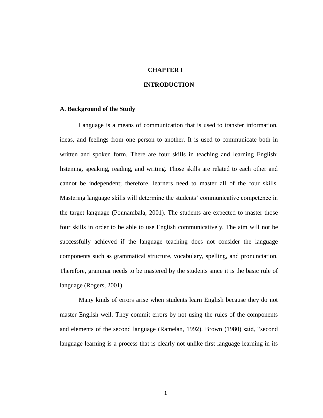# **CHAPTER I**

## **INTRODUCTION**

#### **A. Background of the Study**

Language is a means of communication that is used to transfer information, ideas, and feelings from one person to another. It is used to communicate both in written and spoken form. There are four skills in teaching and learning English: listening, speaking, reading, and writing. Those skills are related to each other and cannot be independent; therefore, learners need to master all of the four skills. Mastering language skills will determine the students' communicative competence in the target language (Ponnambala, 2001). The students are expected to master those four skills in order to be able to use English communicatively. The aim will not be successfully achieved if the language teaching does not consider the language components such as grammatical structure, vocabulary, spelling, and pronunciation. Therefore, grammar needs to be mastered by the students since it is the basic rule of language (Rogers, 2001)

Many kinds of errors arise when students learn English because they do not master English well. They commit errors by not using the rules of the components and elements of the second language (Ramelan, 1992). Brown (1980) said, "second language learning is a process that is clearly not unlike first language learning in its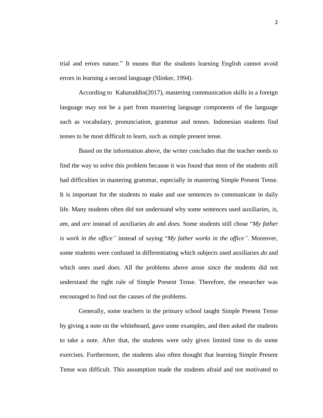trial and errors nature." It means that the students learning English cannot avoid errors in learning a second language (Slinker, 1994).

According to Kaharuddin(2017), mastering communication skills in a foreign language may not be a part from mastering language components of the language such as vocabulary, pronunciation, grammar and tenses. Indonesian students find tenses to be most difficult to learn, such as simple present tense.

Based on the information above, the writer concludes that the teacher needs to find the way to solve this problem because it was found that most of the students still had difficulties in mastering grammar, especially in mastering Simple Present Tense. It is important for the students to make and use sentences to communicate in daily life. Many students often did not understand why some sentences used auxiliaries, *is, am*, and *are* instead of auxiliaries *do* and *does.* Some students still chose "*My father is work in the office"* instead of saying "*My father works in the office"*. Moreover, some students were confused in differentiating which subjects used auxiliaries *do* and which ones used *does.* All the problems above arose since the students did not understand the right rule of Simple Present Tense. Therefore, the researcher was encouraged to find out the causes of the problems.

Generally, some teachers in the primary school taught Simple Present Tense by giving a note on the whiteboard, gave some examples, and then asked the students to take a note. After that, the students were only given limited time to do some exercises. Furthermore, the students also often thought that learning Simple Present Tense was difficult. This assumption made the students afraid and not motivated to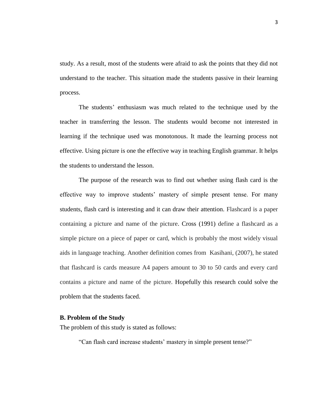study. As a result, most of the students were afraid to ask the points that they did not understand to the teacher. This situation made the students passive in their learning process.

The students' enthusiasm was much related to the technique used by the teacher in transferring the lesson. The students would become not interested in learning if the technique used was monotonous. It made the learning process not effective. Using picture is one the effective way in teaching English grammar. It helps the students to understand the lesson.

The purpose of the research was to find out whether using flash card is the effective way to improve students' mastery of simple present tense. For many students, flash card is interesting and it can draw their attention. Flashcard is a paper containing a picture and name of the picture. Cross (1991) define a flashcard as a simple picture on a piece of paper or card, which is probably the most widely visual aids in language teaching. Another definition comes from Kasihani, (2007), he stated that flashcard is cards measure A4 papers amount to 30 to 50 cards and every card contains a picture and name of the picture. Hopefully this research could solve the problem that the students faced.

## **B. Problem of the Study**

The problem of this study is stated as follows:

"Can flash card increase students' mastery in simple present tense?"